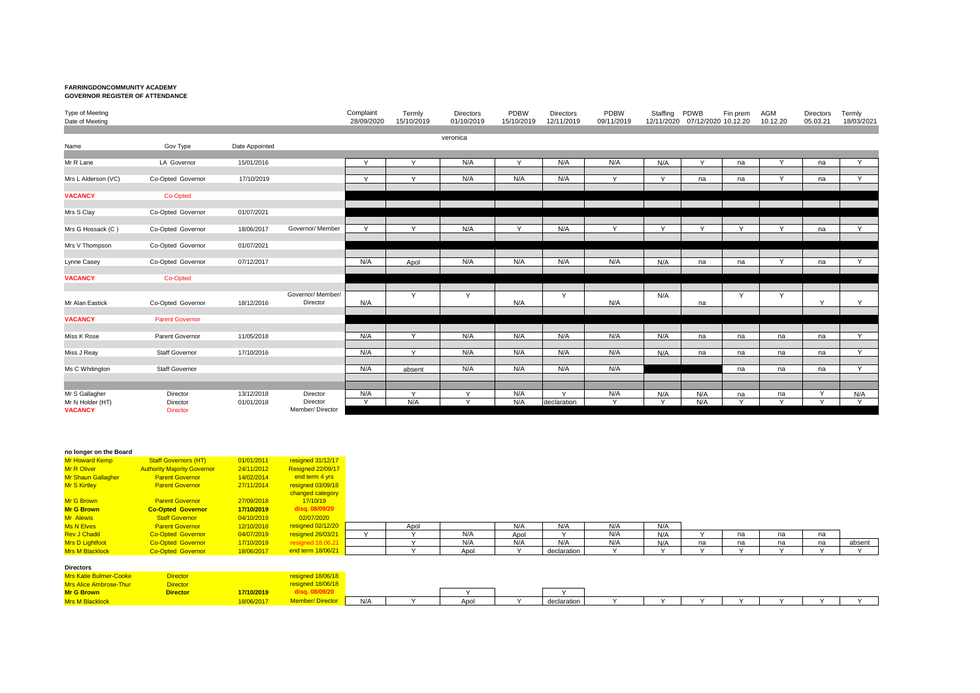## **FARRINGDONCOMMUNITY ACADEMY GOVERNOR REGISTER OF ATTENDANCE**

| Type of Meeting<br>Date of Meeting |                             |                |                             | Complaint<br>28/09/2020 | Termly<br>15/10/2019 | <b>Directors</b><br>01/10/2019 | PDBW<br>15/10/2019 | <b>Directors</b><br>12/11/2019 | PDBW<br>09/11/2019 | Staffing<br>12/11/2020 | <b>PDWB</b><br>07/12/2020 10.12.20 | Fin prem     | AGM<br>10.12.20 | <b>Directors</b><br>05.03.21 | Termly<br>18/03/2021 |
|------------------------------------|-----------------------------|----------------|-----------------------------|-------------------------|----------------------|--------------------------------|--------------------|--------------------------------|--------------------|------------------------|------------------------------------|--------------|-----------------|------------------------------|----------------------|
| Name                               | Gov Type                    | Date Appointed |                             |                         |                      | veronica                       |                    |                                |                    |                        |                                    |              |                 |                              |                      |
|                                    |                             |                |                             |                         |                      |                                |                    |                                |                    |                        |                                    |              |                 |                              |                      |
| Mr R Lane                          | LA Governor                 | 15/01/2016     |                             | Y                       | $\checkmark$         | N/A                            | $\checkmark$       | N/A                            | N/A                | N/A                    | Y                                  | na           |                 | na                           | Y                    |
| Mrs L Alderson (VC)                | Co-Opted Governor           | 17/10/2019     |                             | Y                       | $\checkmark$         | N/A                            | N/A                | N/A                            | $\mathsf{v}$       | $\vee$                 | na                                 | na           | Y               | na                           | Y                    |
| <b>VACANCY</b>                     | Co-Opted                    |                |                             |                         |                      |                                |                    |                                |                    |                        |                                    |              |                 |                              |                      |
| Mrs S Clay                         | Co-Opted Governor           | 01/07/2021     |                             |                         |                      |                                |                    |                                |                    |                        |                                    |              |                 |                              |                      |
| Mrs G Hossack (C)                  | Co-Opted Governor           | 18/06/2017     | Governor/ Member            | $\mathsf{v}$            | $\checkmark$         | N/A                            | $\vee$             | N/A                            | Y                  | $\vee$                 | $\checkmark$                       | $\checkmark$ | $\vee$          | na                           | V.                   |
| Mrs V Thompson                     | Co-Opted Governor           | 01/07/2021     |                             |                         |                      |                                |                    |                                |                    |                        |                                    |              |                 |                              |                      |
| Lynne Casey                        | Co-Opted Governor           | 07/12/2017     |                             | N/A                     | Apol                 | N/A                            | N/A                | N/A                            | N/A                | N/A                    | na                                 | na           | Y               | na                           | $\overline{Y}$       |
| <b>VACANCY</b>                     | Co-Opted                    |                |                             |                         |                      |                                |                    |                                |                    |                        |                                    |              |                 |                              |                      |
|                                    |                             |                | Governor/ Member/           |                         | Y                    | Y                              |                    | Y                              |                    | N/A                    |                                    | Y            | Y               |                              |                      |
| Mr Alan Eastick                    | Co-Opted Governor           | 18/12/2016     | Director                    | N/A                     |                      |                                | N/A                |                                | N/A                |                        | na                                 |              |                 | $\checkmark$                 | Y                    |
| <b>VACANCY</b>                     | <b>Parent Governor</b>      |                |                             |                         |                      |                                |                    |                                |                    |                        |                                    |              |                 |                              |                      |
| Miss K Rose                        | Parent Governor             | 11/05/2018     |                             | N/A                     | $\vee$               | N/A                            | N/A                | N/A                            | N/A                | N/A                    | na                                 | na           | na              | na                           | <b>V</b>             |
| Miss J Reay                        | Staff Governor              | 17/10/2016     |                             | N/A                     | $\vee$               | N/A                            | N/A                | N/A                            | N/A                | N/A                    | na                                 | na           | na              | na                           | $\vee$               |
| Ms C Whitington                    | <b>Staff Governor</b>       |                |                             | N/A                     | absent               | N/A                            | N/A                | N/A                            | N/A                |                        |                                    | na           | na              | na                           | Y.                   |
|                                    |                             |                |                             |                         |                      |                                |                    |                                |                    |                        |                                    |              |                 |                              |                      |
| Mr S Gallagher                     | Director                    | 13/12/2018     | Director                    | N/A                     | $\mathsf{v}$         | $\vee$                         | N/A                | $\vee$                         | N/A                | N/A                    | N/A                                | na           | na              | $\checkmark$                 | N/A                  |
| Mr N Holder (HT)<br><b>VACANCY</b> | Director<br><b>Director</b> | 01/01/2018     | Director<br>Member/Director | $\mathsf{v}$            | N/A                  | $\mathsf{v}$                   | N/A                | declaration                    | $\mathsf{Y}$       | $\checkmark$           | N/A                                | $\checkmark$ | $\vee$          | $\checkmark$                 | Y                    |

|  | no longer on the Board |  |
|--|------------------------|--|
|--|------------------------|--|

| <b>Mr Howard Kemp</b>     | <b>Staff Governors (HT)</b>        | 01/01/2011 | resigned 31/12/17 |
|---------------------------|------------------------------------|------------|-------------------|
| <b>Mr R Oliver</b>        | <b>Authority Majority Governor</b> | 24/11/2012 | Resigned 22/09/17 |
| <b>Mr Shaun Gallagher</b> | <b>Parent Governor</b>             | 14/02/2014 | end term 4 yrs    |
| <b>Mr S Kirtlev</b>       | <b>Parent Governor</b>             | 27/11/2014 | resigned 03/09/18 |
|                           |                                    |            | changed category  |
| <b>Mr G Brown</b>         | <b>Parent Governor</b>             | 27/09/2018 | 17/10/19          |
| <b>Mr G Brown</b>         | <b>Co-Opted Governor</b>           | 17/10/2019 | disq. 08/09/20    |
| <b>Mr Alewis</b>          | <b>Staff Governor</b>              | 04/10/2019 | 02/07/2020        |
| <b>Ms N Elves</b>         | <b>Parent Governor</b>             | 12/10/2018 | resigned 02/12/20 |
| <b>Rev J Chadd</b>        | <b>Co-Opted Governor</b>           | 04/07/2019 | resigned 26/03/21 |
| <b>Mrs D Lightfoot</b>    | <b>Co-Opted Governor</b>           | 17/10/2019 | resigned 18.06.21 |
| Mrs M Plooklook           | Co Ontod Covernor                  | 10/00/2017 | and tarm 18/06/21 |

| Mr Alewis         | <b>Staff Governor</b>    | 04/10/2019 | 02/07/2020                |      |     |      |             |     |     |    |    |    |    |        |
|-------------------|--------------------------|------------|---------------------------|------|-----|------|-------------|-----|-----|----|----|----|----|--------|
| <b>Ms N Elves</b> | Parent Governor          | 12/10/2018 | <mark>ned 02/12/20</mark> | ADO. |     | NI/A | N/A         | N/A | N/A |    |    |    |    |        |
| Rev J Chadd       | <b>Co-Opted Governor</b> | 04/07/2019 | resigned 26/03/21         |      | N/A | Apo  |             | N/A | N/A |    | na | na | na |        |
| Mrs D Lightfoot   | Co-Opted Governor        | 17/10/2019 |                           |      | N/A | NI/A | N/A         | N/A | N/A | na | na | na | na | absent |
| Mrs M Blacklock   | <b>Co-Opted Governor</b> | 18/06/2017 | nd term 18/06/21          |      | Apo |      | declaratior |     |     |    |    |    |    |        |

| <b>Directors</b>              |                 |            |                        |     |      |             |  |  |  |  |
|-------------------------------|-----------------|------------|------------------------|-----|------|-------------|--|--|--|--|
| <b>Mrs Katie Bulmer-Cooke</b> | <b>Director</b> |            | resigned 18/06/18      |     |      |             |  |  |  |  |
| Mrs Alice Ambrose-Thun        | <b>Director</b> |            | resigned 18/06/18      |     |      |             |  |  |  |  |
| <b>Mr G Brown</b>             | <b>Director</b> | 7/10/2019  | disg. 08/09/20         |     |      | $\lambda$   |  |  |  |  |
| <b>Mrs M Blacklock</b>        |                 | 18/06/2017 | <b>Member/Director</b> | N/A | Apol | declaration |  |  |  |  |